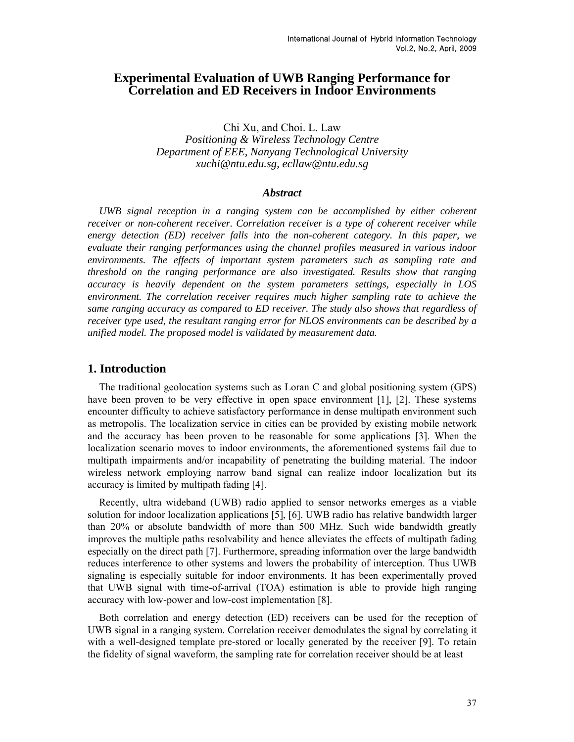## **Experimental Evaluation of UWB Ranging Performance for Correlation and ED Receivers in Indoor Environments**

Chi Xu, and Choi. L. Law

*Positioning & Wireless Technology Centre Department of EEE, Nanyang Technological University xuchi@ntu.edu.sg, ecllaw@ntu.edu.sg* 

#### *Abstract*

*UWB signal reception in a ranging system can be accomplished by either coherent receiver or non-coherent receiver. Correlation receiver is a type of coherent receiver while energy detection (ED) receiver falls into the non-coherent category. In this paper, we evaluate their ranging performances using the channel profiles measured in various indoor environments. The effects of important system parameters such as sampling rate and threshold on the ranging performance are also investigated. Results show that ranging accuracy is heavily dependent on the system parameters settings, especially in LOS environment. The correlation receiver requires much higher sampling rate to achieve the same ranging accuracy as compared to ED receiver. The study also shows that regardless of receiver type used, the resultant ranging error for NLOS environments can be described by a unified model. The proposed model is validated by measurement data.* 

#### **1. Introduction**

The traditional geolocation systems such as Loran C and global positioning system (GPS) have been proven to be very effective in open space environment [1], [2]. These systems encounter difficulty to achieve satisfactory performance in dense multipath environment such as metropolis. The localization service in cities can be provided by existing mobile network and the accuracy has been proven to be reasonable for some applications [3]. When the localization scenario moves to indoor environments, the aforementioned systems fail due to multipath impairments and/or incapability of penetrating the building material. The indoor wireless network employing narrow band signal can realize indoor localization but its accuracy is limited by multipath fading [4].

Recently, ultra wideband (UWB) radio applied to sensor networks emerges as a viable solution for indoor localization applications [5], [6]. UWB radio has relative bandwidth larger than 20% or absolute bandwidth of more than 500 MHz. Such wide bandwidth greatly improves the multiple paths resolvability and hence alleviates the effects of multipath fading especially on the direct path [7]. Furthermore, spreading information over the large bandwidth reduces interference to other systems and lowers the probability of interception. Thus UWB signaling is especially suitable for indoor environments. It has been experimentally proved that UWB signal with time-of-arrival (TOA) estimation is able to provide high ranging accuracy with low-power and low-cost implementation [8].

Both correlation and energy detection (ED) receivers can be used for the reception of UWB signal in a ranging system. Correlation receiver demodulates the signal by correlating it with a well-designed template pre-stored or locally generated by the receiver [9]. To retain the fidelity of signal waveform, the sampling rate for correlation receiver should be at least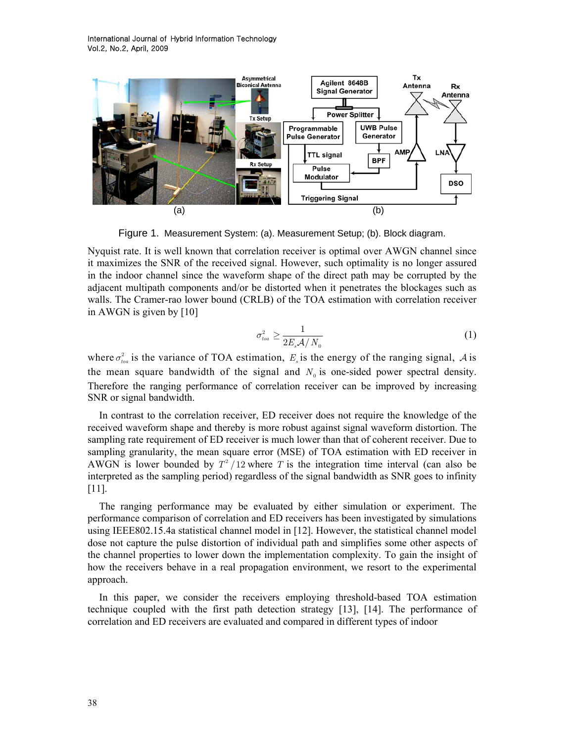

Figure 1. Measurement System: (a). Measurement Setup; (b). Block diagram.

Nyquist rate. It is well known that correlation receiver is optimal over AWGN channel since it maximizes the SNR of the received signal. However, such optimality is no longer assured in the indoor channel since the waveform shape of the direct path may be corrupted by the adjacent multipath components and/or be distorted when it penetrates the blockages such as walls. The Cramer-rao lower bound (CRLB) of the TOA estimation with correlation receiver in AWGN is given by [10]

$$
\sigma_{\iota_{oa}}^2 \ge \frac{1}{2E_s \mathcal{A}/N_0} \tag{1}
$$

where  $\sigma_{\text{toa}}^2$  is the variance of TOA estimation,  $E_s$  is the energy of the ranging signal, A is the mean square bandwidth of the signal and  $N_0$  is one-sided power spectral density. Therefore the ranging performance of correlation receiver can be improved by increasing SNR or signal bandwidth.

In contrast to the correlation receiver, ED receiver does not require the knowledge of the received waveform shape and thereby is more robust against signal waveform distortion. The sampling rate requirement of ED receiver is much lower than that of coherent receiver. Due to sampling granularity, the mean square error (MSE) of TOA estimation with ED receiver in AWGN is lower bounded by  $T^2/12$  where T is the integration time interval (can also be interpreted as the sampling period) regardless of the signal bandwidth as SNR goes to infinity [11].

The ranging performance may be evaluated by either simulation or experiment. The performance comparison of correlation and ED receivers has been investigated by simulations using IEEE802.15.4a statistical channel model in [12]. However, the statistical channel model dose not capture the pulse distortion of individual path and simplifies some other aspects of the channel properties to lower down the implementation complexity. To gain the insight of how the receivers behave in a real propagation environment, we resort to the experimental approach.

In this paper, we consider the receivers employing threshold-based TOA estimation technique coupled with the first path detection strategy [13], [14]. The performance of correlation and ED receivers are evaluated and compared in different types of indoor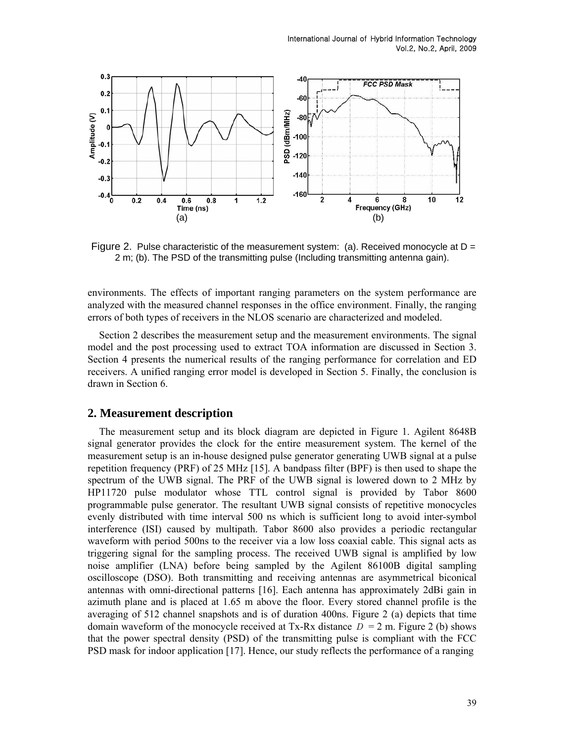

Figure 2. Pulse characteristic of the measurement system: (a). Received monocycle at  $D =$ 2 m; (b). The PSD of the transmitting pulse (Including transmitting antenna gain).

environments. The effects of important ranging parameters on the system performance are analyzed with the measured channel responses in the office environment. Finally, the ranging errors of both types of receivers in the NLOS scenario are characterized and modeled.

Section 2 describes the measurement setup and the measurement environments. The signal model and the post processing used to extract TOA information are discussed in Section 3. Section 4 presents the numerical results of the ranging performance for correlation and ED receivers. A unified ranging error model is developed in Section 5. Finally, the conclusion is drawn in Section 6.

### **2. Measurement description**

The measurement setup and its block diagram are depicted in Figure 1. Agilent 8648B signal generator provides the clock for the entire measurement system. The kernel of the measurement setup is an in-house designed pulse generator generating UWB signal at a pulse repetition frequency (PRF) of 25 MHz [15]. A bandpass filter (BPF) is then used to shape the spectrum of the UWB signal. The PRF of the UWB signal is lowered down to 2 MHz by HP11720 pulse modulator whose TTL control signal is provided by Tabor 8600 programmable pulse generator. The resultant UWB signal consists of repetitive monocycles evenly distributed with time interval 500 ns which is sufficient long to avoid inter-symbol interference (ISI) caused by multipath. Tabor 8600 also provides a periodic rectangular waveform with period 500ns to the receiver via a low loss coaxial cable. This signal acts as triggering signal for the sampling process. The received UWB signal is amplified by low noise amplifier (LNA) before being sampled by the Agilent 86100B digital sampling oscilloscope (DSO). Both transmitting and receiving antennas are asymmetrical biconical antennas with omni-directional patterns [16]. Each antenna has approximately 2dBi gain in azimuth plane and is placed at 1.65 m above the floor. Every stored channel profile is the averaging of 512 channel snapshots and is of duration 400ns. Figure 2 (a) depicts that time domain waveform of the monocycle received at Tx-Rx distance  $D = 2$  m. Figure 2 (b) shows that the power spectral density (PSD) of the transmitting pulse is compliant with the FCC PSD mask for indoor application [17]. Hence, our study reflects the performance of a ranging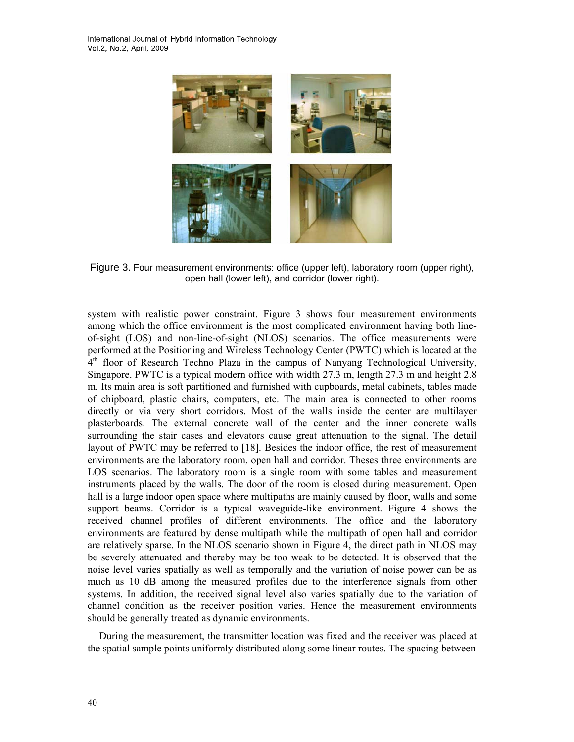

Figure 3. Four measurement environments: office (upper left), laboratory room (upper right), open hall (lower left), and corridor (lower right).

system with realistic power constraint. Figure 3 shows four measurement environments among which the office environment is the most complicated environment having both lineof-sight (LOS) and non-line-of-sight (NLOS) scenarios. The office measurements were performed at the Positioning and Wireless Technology Center (PWTC) which is located at the 4<sup>th</sup> floor of Research Techno Plaza in the campus of Nanyang Technological University, Singapore. PWTC is a typical modern office with width 27.3 m, length 27.3 m and height 2.8 m. Its main area is soft partitioned and furnished with cupboards, metal cabinets, tables made of chipboard, plastic chairs, computers, etc. The main area is connected to other rooms directly or via very short corridors. Most of the walls inside the center are multilayer plasterboards. The external concrete wall of the center and the inner concrete walls surrounding the stair cases and elevators cause great attenuation to the signal. The detail layout of PWTC may be referred to [18]. Besides the indoor office, the rest of measurement environments are the laboratory room, open hall and corridor. Theses three environments are LOS scenarios. The laboratory room is a single room with some tables and measurement instruments placed by the walls. The door of the room is closed during measurement. Open hall is a large indoor open space where multipaths are mainly caused by floor, walls and some support beams. Corridor is a typical waveguide-like environment. Figure 4 shows the received channel profiles of different environments. The office and the laboratory environments are featured by dense multipath while the multipath of open hall and corridor are relatively sparse. In the NLOS scenario shown in Figure 4, the direct path in NLOS may be severely attenuated and thereby may be too weak to be detected. It is observed that the noise level varies spatially as well as temporally and the variation of noise power can be as much as 10 dB among the measured profiles due to the interference signals from other systems. In addition, the received signal level also varies spatially due to the variation of channel condition as the receiver position varies. Hence the measurement environments should be generally treated as dynamic environments.

During the measurement, the transmitter location was fixed and the receiver was placed at the spatial sample points uniformly distributed along some linear routes. The spacing between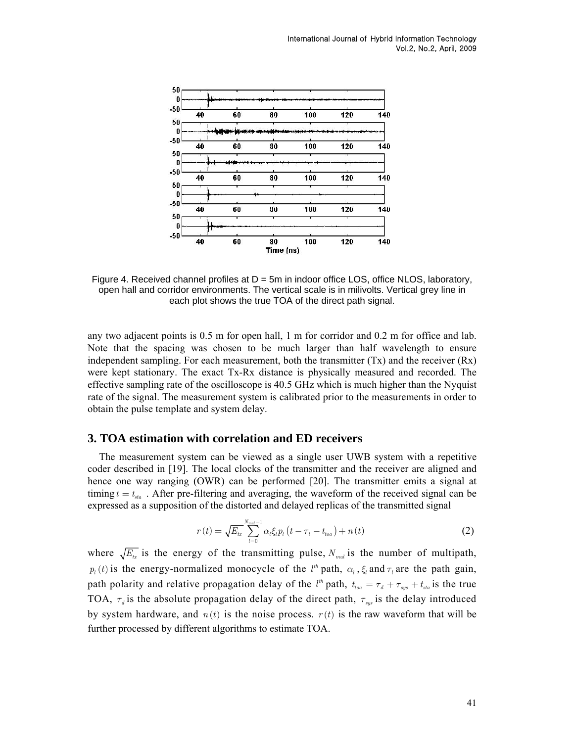

Figure 4. Received channel profiles at  $D = 5m$  in indoor office LOS, office NLOS, laboratory, open hall and corridor environments. The vertical scale is in milivolts. Vertical grey line in each plot shows the true TOA of the direct path signal.

any two adjacent points is 0.5 m for open hall, 1 m for corridor and 0.2 m for office and lab. Note that the spacing was chosen to be much larger than half wavelength to ensure independent sampling. For each measurement, both the transmitter  $(Tx)$  and the receiver  $(Rx)$ were kept stationary. The exact Tx-Rx distance is physically measured and recorded. The effective sampling rate of the oscilloscope is 40.5 GHz which is much higher than the Nyquist rate of the signal. The measurement system is calibrated prior to the measurements in order to obtain the pulse template and system delay.

### **3. TOA estimation with correlation and ED receivers**

The measurement system can be viewed as a single user UWB system with a repetitive coder described in [19]. The local clocks of the transmitter and the receiver are aligned and hence one way ranging (OWR) can be performed [20]. The transmitter emits a signal at timing  $t = t_{sta}$ . After pre-filtering and averaging, the waveform of the received signal can be expressed as a supposition of the distorted and delayed replicas of the transmitted signal

$$
r(t) = \sqrt{E_{tx}} \sum_{l=0}^{N_{mul}-1} \alpha_l \xi_l p_l \left( t - \tau_l - t_{toa} \right) + n(t)
$$
 (2)

where  $\sqrt{E_{tx}}$  is the energy of the transmitting pulse,  $N_{mul}$  is the number of multipath,  $p_i(t)$  is the energy-normalized monocycle of the  $l^{th}$  path,  $\alpha_i$ ,  $\xi_i$  and  $\tau_i$  are the path gain, path polarity and relative propagation delay of the  $l^{th}$  path,  $t_{toa} = \tau_d + \tau_{sys} + t_{sta}$  is the true TOA,  $\tau_d$  is the absolute propagation delay of the direct path,  $\tau_{sys}$  is the delay introduced by system hardware, and  $n(t)$  is the noise process.  $r(t)$  is the raw waveform that will be further processed by different algorithms to estimate TOA.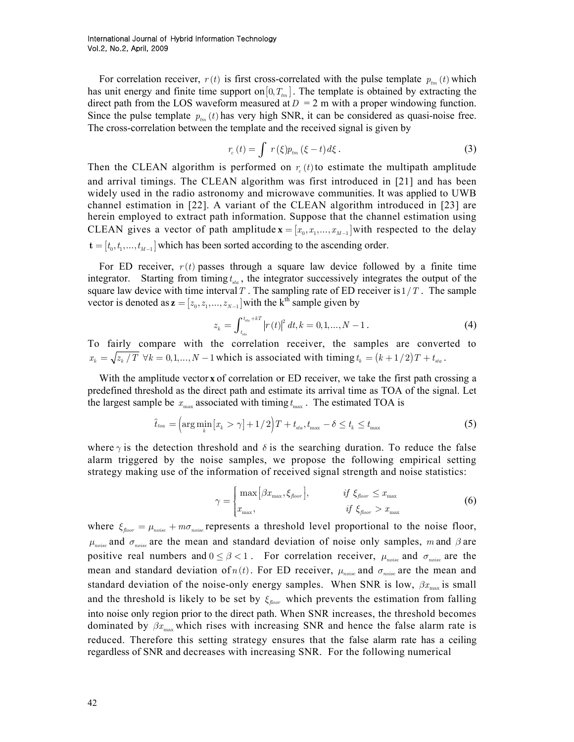For correlation receiver,  $r(t)$  is first cross-correlated with the pulse template  $p_{tm}(t)$  which has unit energy and finite time support on  $[0, T_{tm}]$ . The template is obtained by extracting the direct path from the LOS waveform measured at  $D = 2$  m with a proper windowing function. Since the pulse template  $p_{tm}(t)$  has very high SNR, it can be considered as quasi-noise free. The cross-correlation between the template and the received signal is given by

$$
r_c(t) = \int r(\xi) p_{tm}(\xi - t) d\xi.
$$
 (3)

Then the CLEAN algorithm is performed on  $r<sub>s</sub>(t)$  to estimate the multipath amplitude and arrival timings. The CLEAN algorithm was first introduced in [21] and has been widely used in the radio astronomy and microwave communities. It was applied to UWB channel estimation in [22]. A variant of the CLEAN algorithm introduced in [23] are herein employed to extract path information. Suppose that the channel estimation using CLEAN gives a vector of path amplitude  $\mathbf{x} = [x_0, x_1, ..., x_{M-1}]$  with respected to the delay  $\mathbf{t} = [t_0, t_1, \dots, t_{M-1}]$  which has been sorted according to the ascending order.

For ED receiver,  $r(t)$  passes through a square law device followed by a finite time integrator. Starting from timing  $t_{sto}$ , the integrator successively integrates the output of the square law device with time interval  $T$ . The sampling rate of ED receiver is  $1/T$ . The sample vector is denoted as  $\mathbf{z} = [z_0, z_1, ..., z_{N-1}]$  with the k<sup>th</sup> sample given by

$$
z_{k} = \int_{t_{sta}}^{t_{sta} + kT} |r(t)|^{2} dt, k = 0, 1, ..., N - 1.
$$
 (4)

To fairly compare with the correlation receiver, the samples are converted to  $x_k = \sqrt{\frac{z_k}{T}} \ \forall k = 0, 1, \dots, N-1$  which is associated with timing  $t_k = (k + 1/2)T + t_{sta}$ .

With the amplitude vector **x** of correlation or ED receiver, we take the first path crossing a predefined threshold as the direct path and estimate its arrival time as TOA of the signal. Let the largest sample be  $x_{\text{max}}$  associated with timing  $t_{\text{max}}$ . The estimated TOA is

$$
\hat{t}_{\text{toa}} = \left(\arg\min_{k} \left[x_k > \gamma\right] + 1/2\right)T + t_{\text{sta}}, t_{\text{max}} - \delta \le t_k \le t_{\text{max}} \tag{5}
$$

where  $\gamma$  is the detection threshold and  $\delta$  is the searching duration. To reduce the false alarm triggered by the noise samples, we propose the following empirical setting strategy making use of the information of received signal strength and noise statistics:

$$
\gamma = \begin{cases} \max[\beta x_{\text{max}}, \xi_{\text{floor}}], & \text{if } \xi_{\text{floor}} \le x_{\text{max}} \\ x_{\text{max}}, & \text{if } \xi_{\text{floor}} > x_{\text{max}} \end{cases}
$$
(6)

where  $\xi_{\text{floor}} = \mu_{\text{noise}} + m\sigma_{\text{noise}}$  represents a threshold level proportional to the noise floor,  $\mu_{noise}$  and  $\sigma_{noise}$  are the mean and standard deviation of noise only samples, *m* and  $\beta$  are positive real numbers and  $0 \le \beta < 1$ . For correlation receiver,  $\mu_{noise}$  and  $\sigma_{noise}$  are the mean and standard deviation of  $n(t)$ . For ED receiver,  $\mu_{noise}$  and  $\sigma_{noise}$  are the mean and standard deviation of the noise-only energy samples. When SNR is low,  $\beta x_{\text{max}}$  is small and the threshold is likely to be set by  $\xi_{\text{floor}}$  which prevents the estimation from falling into noise only region prior to the direct path. When SNR increases, the threshold becomes dominated by  $βx_{max}$  which rises with increasing SNR and hence the false alarm rate is reduced. Therefore this setting strategy ensures that the false alarm rate has a ceiling regardless of SNR and decreases with increasing SNR. For the following numerical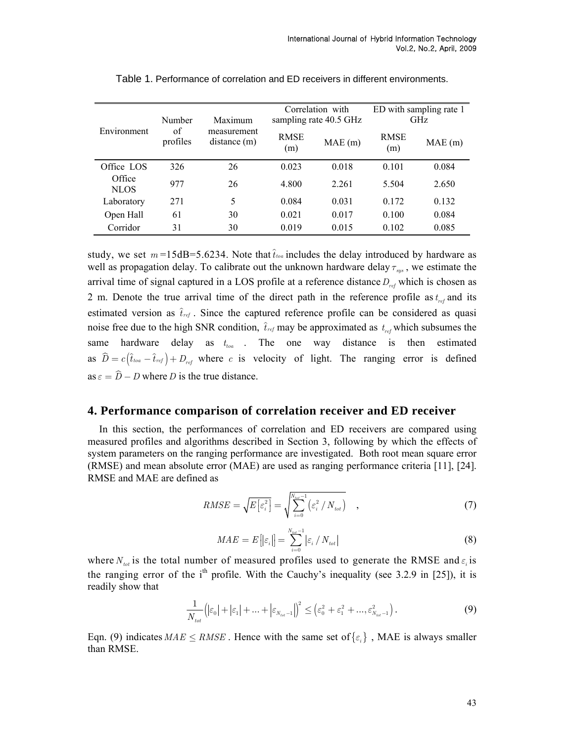| Environment           | Number<br>of<br>profiles | Maximum<br>measurement<br>distance(m) | Correlation with<br>sampling rate 40.5 GHz |         | ED with sampling rate 1<br><b>GHz</b> |        |
|-----------------------|--------------------------|---------------------------------------|--------------------------------------------|---------|---------------------------------------|--------|
|                       |                          |                                       | <b>RMSE</b><br>(m)                         | MAE(m)  | <b>RMSE</b><br>(m)                    | MAE(m) |
| Office LOS            | 326                      | 26                                    | 0.023                                      | 0.018   | 0.101                                 | 0.084  |
| Office<br><b>NLOS</b> | 977                      | 26                                    | 4.800                                      | 2 2 6 1 | 5.504                                 | 2.650  |
| Laboratory            | 271                      | 5                                     | 0.084                                      | 0.031   | 0.172                                 | 0.132  |
| Open Hall             | 61                       | 30                                    | 0.021                                      | 0.017   | 0.100                                 | 0.084  |
| Corridor              | 31                       | 30                                    | 0.019                                      | 0.015   | 0.102                                 | 0.085  |

Table 1. Performance of correlation and ED receivers in different environments.

study, we set  $m = 15dB = 5.6234$ . Note that  $\hat{t}_{\text{toa}}$  includes the delay introduced by hardware as well as propagation delay. To calibrate out the unknown hardware delay *τ*<sub>sys</sub>, we estimate the arrival time of signal captured in a LOS profile at a reference distance  $D_{ref}$  which is chosen as 2 m. Denote the true arrival time of the direct path in the reference profile as  $t_{ref}$  and its estimated version as  $\hat{t}_{ref}$ . Since the captured reference profile can be considered as quasi noise free due to the high SNR condition,  $\hat{t}_{ref}$  may be approximated as  $t_{ref}$  which subsumes the same hardware delay as  $t_{\text{toa}}$  . The one way distance is then estimated as  $\hat{D} = c(\hat{t}_{\text{toa}} - \hat{t}_{\text{ref}}) + D_{\text{ref}}$  where *c* is velocity of light. The ranging error is defined  $as \epsilon = \hat{D} - D$  where *D* is the true distance.

#### **4. Performance comparison of correlation receiver and ED receiver**

In this section, the performances of correlation and ED receivers are compared using measured profiles and algorithms described in Section 3, following by which the effects of system parameters on the ranging performance are investigated. Both root mean square error (RMSE) and mean absolute error (MAE) are used as ranging performance criteria [11], [24]. RMSE and MAE are defined as

$$
RMSE = \sqrt{E\left[\varepsilon_i^2\right]} = \sqrt{\sum_{i=0}^{N_{tot}-1} \left(\varepsilon_i^2 / N_{tot}\right)} \quad , \tag{7}
$$

$$
MAE = E\left[|\varepsilon_i|\right] = \sum_{i=0}^{N_{tot}-1} |\varepsilon_i / N_{tot}| \tag{8}
$$

where  $N_{tot}$  is the total number of measured profiles used to generate the RMSE and  $\varepsilon_i$  is the ranging error of the i<sup>th</sup> profile. With the Cauchy's inequality (see 3.2.9 in [25]), it is readily show that

$$
\frac{1}{N_{\text{tot}}} \left( |\varepsilon_0| + |\varepsilon_1| + \ldots + |\varepsilon_{N_{\text{tot}}-1}| \right)^2 \leq \left( \varepsilon_0^2 + \varepsilon_1^2 + \ldots, \varepsilon_{N_{\text{tot}}-1}^2 \right). \tag{9}
$$

Eqn. (9) indicates  $MAE \leq RMSE$ . Hence with the same set of  $\{\varepsilon_i\}$ , MAE is always smaller than RMSE.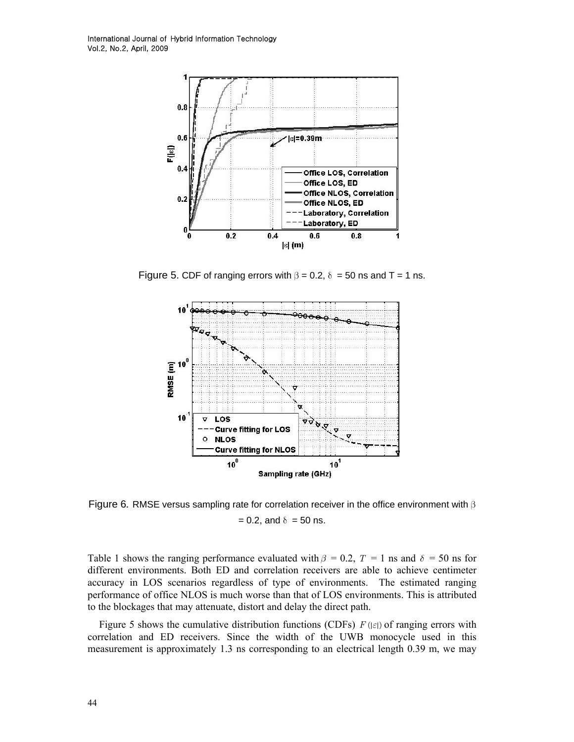

Figure 5. CDF of ranging errors with  $\beta = 0.2$ ,  $\delta = 50$  ns and T = 1 ns.



Figure 6**.** RMSE versus sampling rate for correlation receiver in the office environment with β  $= 0.2$ , and  $\delta = 50$  ns.

Table 1 shows the ranging performance evaluated with  $\beta = 0.2$ ,  $T = 1$  ns and  $\delta = 50$  ns for different environments. Both ED and correlation receivers are able to achieve centimeter accuracy in LOS scenarios regardless of type of environments. The estimated ranging performance of office NLOS is much worse than that of LOS environments. This is attributed to the blockages that may attenuate, distort and delay the direct path.

Figure 5 shows the cumulative distribution functions (CDFs)  $F(|\varepsilon|)$  of ranging errors with correlation and ED receivers. Since the width of the UWB monocycle used in this measurement is approximately 1.3 ns corresponding to an electrical length 0.39 m, we may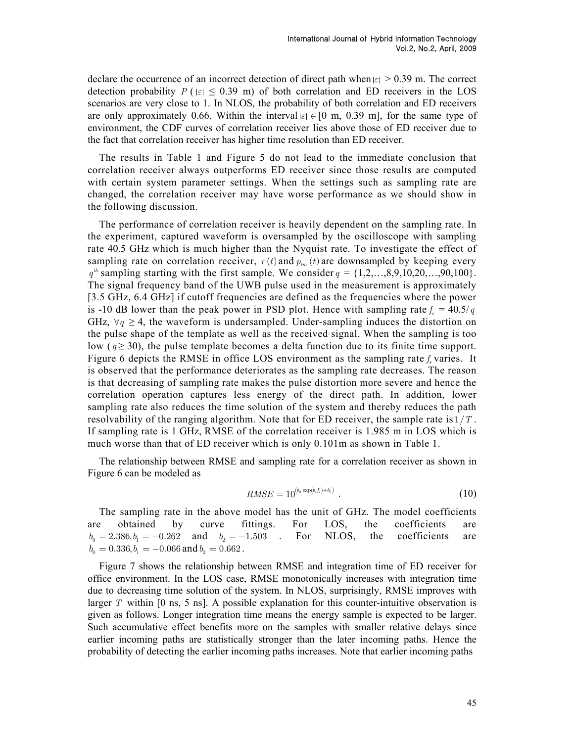declare the occurrence of an incorrect detection of direct path when *ε* > 0.39 m. The correct detection probability  $P(|\epsilon| \le 0.39 \text{ m})$  of both correlation and ED receivers in the LOS scenarios are very close to 1. In NLOS, the probability of both correlation and ED receivers are only approximately 0.66. Within the interval  $\vert \varepsilon \vert \in [0 \text{ m}, 0.39 \text{ m}]$ , for the same type of environment, the CDF curves of correlation receiver lies above those of ED receiver due to the fact that correlation receiver has higher time resolution than ED receiver.

The results in Table 1 and Figure 5 do not lead to the immediate conclusion that correlation receiver always outperforms ED receiver since those results are computed with certain system parameter settings. When the settings such as sampling rate are changed, the correlation receiver may have worse performance as we should show in the following discussion.

The performance of correlation receiver is heavily dependent on the sampling rate. In the experiment, captured waveform is oversampled by the oscilloscope with sampling rate 40.5 GHz which is much higher than the Nyquist rate. To investigate the effect of sampling rate on correlation receiver,  $r(t)$  and  $p_{tm}(t)$  are downsampled by keeping every  $q^{th}$  sampling starting with the first sample. We consider  $q = \{1, 2, \ldots, 8, 9, 10, 20, \ldots, 90, 100\}$ . The signal frequency band of the UWB pulse used in the measurement is approximately [3.5 GHz, 6.4 GHz] if cutoff frequencies are defined as the frequencies where the power is -10 dB lower than the peak power in PSD plot. Hence with sampling rate  $f<sub>s</sub> = 40.5/q$ GHz,  $\forall q \geq 4$ , the waveform is undersampled. Under-sampling induces the distortion on the pulse shape of the template as well as the received signal. When the sampling is too low ( $q \ge 30$ ), the pulse template becomes a delta function due to its finite time support. Figure 6 depicts the RMSE in office LOS environment as the sampling rate *f* varies. It is observed that the performance deteriorates as the sampling rate decreases. The reason is that decreasing of sampling rate makes the pulse distortion more severe and hence the correlation operation captures less energy of the direct path. In addition, lower sampling rate also reduces the time solution of the system and thereby reduces the path resolvability of the ranging algorithm. Note that for ED receiver, the sample rate is 1/*T* . If sampling rate is 1 GHz, RMSE of the correlation receiver is 1.985 m in LOS which is much worse than that of ED receiver which is only 0.101m as shown in Table 1.

The relationship between RMSE and sampling rate for a correlation receiver as shown in Figure 6 can be modeled as

$$
RMSE = 10^{(b_0 \exp(b_1 f_s) + b_2)} \tag{10}
$$

The sampling rate in the above model has the unit of GHz. The model coefficients are obtained by curve fittings. For LOS, the coefficients are  $b_0 = 2.386, b_1 = -0.262$  and  $b_2 = -1.503$  . For NLOS, the coefficients are  $b_0 = 0.336, b_1 = -0.066$  and  $b_2 = 0.662$ .

Figure 7 shows the relationship between RMSE and integration time of ED receiver for office environment. In the LOS case, RMSE monotonically increases with integration time due to decreasing time solution of the system. In NLOS, surprisingly, RMSE improves with larger  $T$  within [0 ns, 5 ns]. A possible explanation for this counter-intuitive observation is given as follows. Longer integration time means the energy sample is expected to be larger. Such accumulative effect benefits more on the samples with smaller relative delays since earlier incoming paths are statistically stronger than the later incoming paths. Hence the probability of detecting the earlier incoming paths increases. Note that earlier incoming paths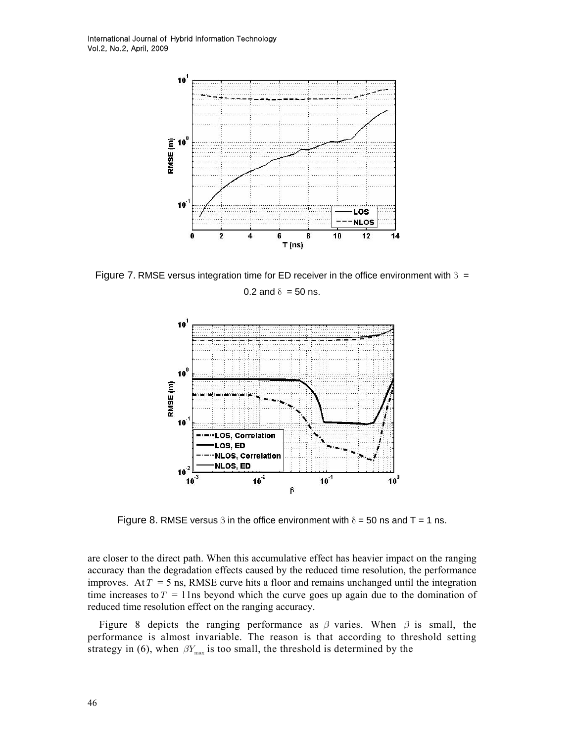

Figure 7. RMSE versus integration time for ED receiver in the office environment with  $\beta =$ 0.2 and  $\delta$  = 50 ns.



Figure 8. RMSE versus  $\beta$  in the office environment with  $\delta = 50$  ns and T = 1 ns.

are closer to the direct path. When this accumulative effect has heavier impact on the ranging accuracy than the degradation effects caused by the reduced time resolution, the performance improves. At  $T = 5$  ns, RMSE curve hits a floor and remains unchanged until the integration time increases to  $T = 11$ ns beyond which the curve goes up again due to the domination of reduced time resolution effect on the ranging accuracy.

Figure 8 depicts the ranging performance as *β* varies. When *β* is small, the performance is almost invariable. The reason is that according to threshold setting strategy in (6), when  $\beta Y_{\text{max}}$  is too small, the threshold is determined by the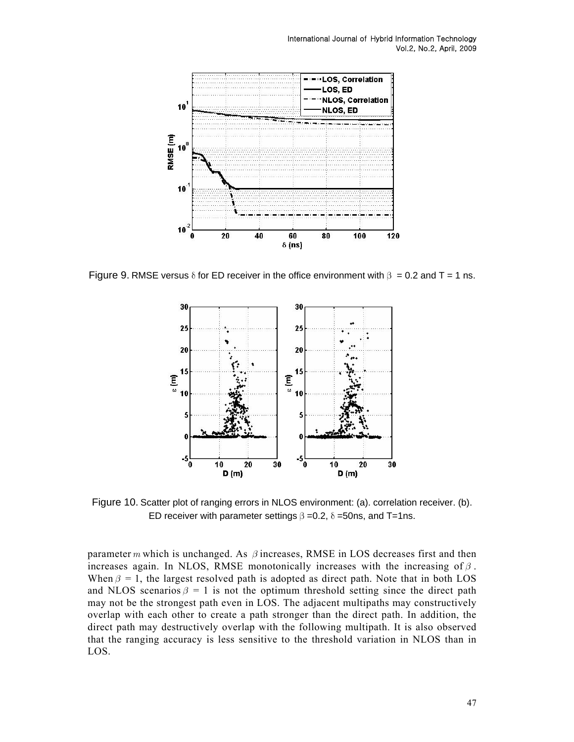

Figure 9. RMSE versus  $\delta$  for ED receiver in the office environment with  $\beta = 0.2$  and T = 1 ns.



Figure 10. Scatter plot of ranging errors in NLOS environment: (a). correlation receiver. (b). ED receiver with parameter settings  $\beta = 0.2$ ,  $\delta = 50$ ns, and T=1ns.

parameter *m* which is unchanged. As *β* increases, RMSE in LOS decreases first and then increases again. In NLOS, RMSE monotonically increases with the increasing of  $\beta$ . When  $\beta = 1$ , the largest resolved path is adopted as direct path. Note that in both LOS and NLOS scenarios  $\beta = 1$  is not the optimum threshold setting since the direct path may not be the strongest path even in LOS. The adjacent multipaths may constructively overlap with each other to create a path stronger than the direct path. In addition, the direct path may destructively overlap with the following multipath. It is also observed that the ranging accuracy is less sensitive to the threshold variation in NLOS than in LOS.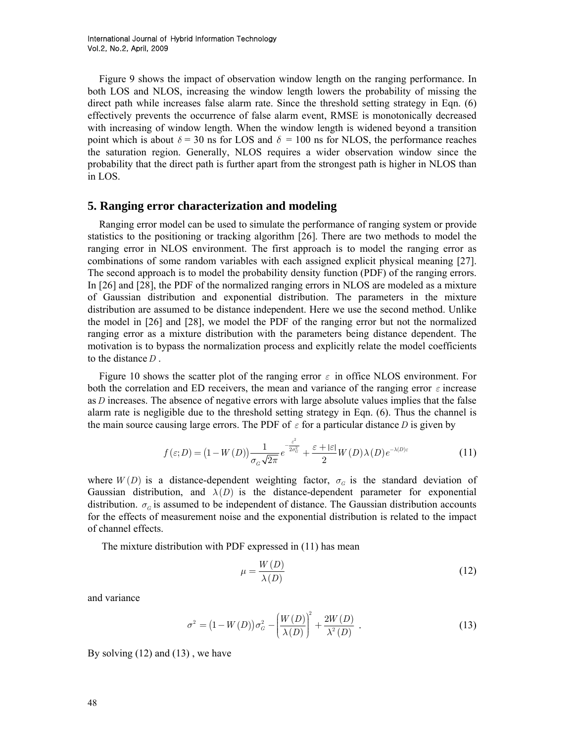Figure 9 shows the impact of observation window length on the ranging performance. In both LOS and NLOS, increasing the window length lowers the probability of missing the direct path while increases false alarm rate. Since the threshold setting strategy in Eqn. (6) effectively prevents the occurrence of false alarm event, RMSE is monotonically decreased with increasing of window length. When the window length is widened beyond a transition point which is about  $\delta$  = 30 ns for LOS and  $\delta$  = 100 ns for NLOS, the performance reaches the saturation region. Generally, NLOS requires a wider observation window since the probability that the direct path is further apart from the strongest path is higher in NLOS than in LOS.

## **5. Ranging error characterization and modeling**

Ranging error model can be used to simulate the performance of ranging system or provide statistics to the positioning or tracking algorithm [26]. There are two methods to model the ranging error in NLOS environment. The first approach is to model the ranging error as combinations of some random variables with each assigned explicit physical meaning [27]. The second approach is to model the probability density function (PDF) of the ranging errors. In [26] and [28], the PDF of the normalized ranging errors in NLOS are modeled as a mixture of Gaussian distribution and exponential distribution. The parameters in the mixture distribution are assumed to be distance independent. Here we use the second method. Unlike the model in [26] and [28], we model the PDF of the ranging error but not the normalized ranging error as a mixture distribution with the parameters being distance dependent. The motivation is to bypass the normalization process and explicitly relate the model coefficients to the distance*D* .

Figure 10 shows the scatter plot of the ranging error *ε* in office NLOS environment. For both the correlation and ED receivers, the mean and variance of the ranging error  $\varepsilon$  increase as*D* increases. The absence of negative errors with large absolute values implies that the false alarm rate is negligible due to the threshold setting strategy in Eqn. (6). Thus the channel is the main source causing large errors. The PDF of *ε* for a particular distance*D* is given by

$$
f(\varepsilon; D) = (1 - W(D)) \frac{1}{\sigma_G \sqrt{2\pi}} e^{-\frac{\varepsilon^2}{2\sigma_G^2}} + \frac{\varepsilon + |\varepsilon|}{2} W(D) \lambda(D) e^{-\lambda(D)\varepsilon}
$$
(11)

where  $W(D)$  is a distance-dependent weighting factor,  $\sigma_G$  is the standard deviation of Gaussian distribution, and  $\lambda(D)$  is the distance-dependent parameter for exponential distribution.  $\sigma_{\rm G}$  is assumed to be independent of distance. The Gaussian distribution accounts for the effects of measurement noise and the exponential distribution is related to the impact of channel effects.

The mixture distribution with PDF expressed in (11) has mean

$$
\mu = \frac{W(D)}{\lambda(D)}\tag{12}
$$

and variance

$$
\sigma^2 = (1 - W(D))\sigma_G^2 - \left(\frac{W(D)}{\lambda(D)}\right)^2 + \frac{2W(D)}{\lambda^2(D)}.
$$
\n(13)

By solving (12) and (13) , we have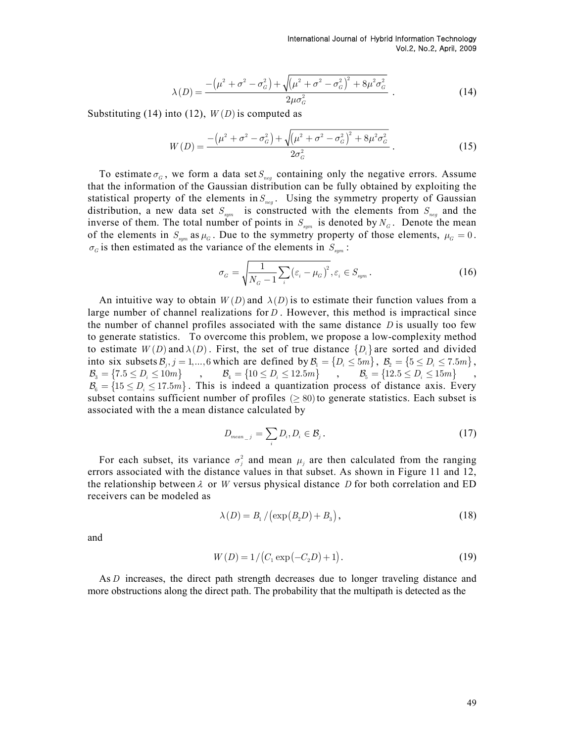$$
\lambda(D) = \frac{-\left(\mu^2 + \sigma^2 - \sigma_G^2\right) + \sqrt{\left(\mu^2 + \sigma^2 - \sigma_G^2\right)^2 + 8\mu^2 \sigma_G^2}}{2\mu \sigma_G^2} \ . \tag{14}
$$

Substituting (14) into (12),  $W(D)$  is computed as

$$
W(D) = \frac{-\left(\mu^2 + \sigma^2 - \sigma_G^2\right) + \sqrt{\left(\mu^2 + \sigma^2 - \sigma_G^2\right)^2 + 8\mu^2 \sigma_G^2}}{2\sigma_G^2} \,. \tag{15}
$$

To estimate  $\sigma_G$ , we form a data set  $S_{\text{neg}}$  containing only the negative errors. Assume that the information of the Gaussian distribution can be fully obtained by exploiting the statistical property of the elements in  $S_{neg}$ . Using the symmetry property of Gaussian distribution, a new data set  $S_{sym}$  is constructed with the elements from  $S_{neg}$  and the inverse of them. The total number of points in  $S_{sym}$  is denoted by  $N_G$ . Denote the mean of the elements in  $S_{sym}$  as  $\mu_G$ . Due to the symmetry property of those elements,  $\mu_G = 0$ .  $\sigma_G$  is then estimated as the variance of the elements in  $S_{sym}$ :

$$
\sigma_G = \sqrt{\frac{1}{N_G - 1} \sum_i (\varepsilon_i - \mu_G)^2}, \varepsilon_i \in S_{sym} \,.
$$
\n(16)

An intuitive way to obtain  $W(D)$  and  $\lambda(D)$  is to estimate their function values from a large number of channel realizations for *D* . However, this method is impractical since the number of channel profiles associated with the same distance *D* is usually too few to generate statistics. To overcome this problem, we propose a low-complexity method to estimate  $W(D)$  and  $\lambda(D)$ . First, the set of true distance  $\{D_i\}$  are sorted and divided into six subsets  $B_i$ ,  $j = 1, ..., 6$  which are defined by  $B_i = \{D_i \le 5m\}$ ,  $B_2 = \{5 \le D_i \le 7.5m\}$ ,  $\mathcal{B}_{3} = \{7.5 \leq D_{i} \leq 10m\}$ ,  $\mathcal{B}_{4} = \{10 \leq D_{i} \leq 12.5m\}$ ,  $\mathcal{B}_{5} = \{12.5 \leq D_{i} \leq 15m\}$  $B_6 = \{15 \le D_i \le 17.5m\}$ . This is indeed a quantization process of distance axis. Every subset contains sufficient number of profiles  $(> 80)$  to generate statistics. Each subset is associated with the a mean distance calculated by

$$
D_{mean_{i}} = \sum_{i} D_{i}, D_{i} \in \mathcal{B}_{j}.
$$
\n(17)

For each subset, its variance  $\sigma_i^2$  and mean  $\mu_i$  are then calculated from the ranging errors associated with the distance values in that subset. As shown in Figure 11 and 12, the relationship between <sup>λ</sup> or *W* versus physical distance *D* for both correlation and ED receivers can be modeled as

$$
\lambda(D) = B_1 / \left( \exp(B_2 D) + B_3 \right),\tag{18}
$$

and

$$
W(D) = 1/(C_1 \exp(-C_2 D) + 1).
$$
\n(19)

As *D* increases, the direct path strength decreases due to longer traveling distance and more obstructions along the direct path. The probability that the multipath is detected as the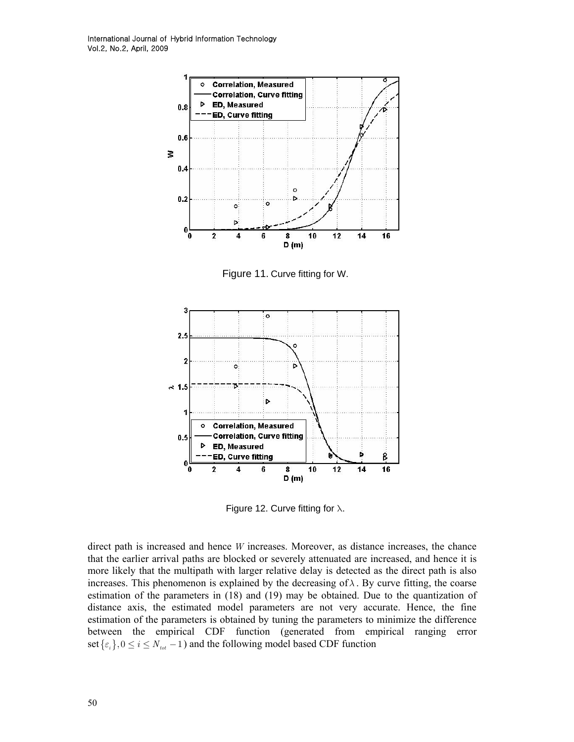

Figure 11. Curve fitting for W.



Figure 12. Curve fitting for  $\lambda$ .

direct path is increased and hence *W* increases. Moreover, as distance increases, the chance that the earlier arrival paths are blocked or severely attenuated are increased, and hence it is more likely that the multipath with larger relative delay is detected as the direct path is also increases. This phenomenon is explained by the decreasing of  $\lambda$ . By curve fitting, the coarse estimation of the parameters in (18) and (19) may be obtained. Due to the quantization of distance axis, the estimated model parameters are not very accurate. Hence, the fine estimation of the parameters is obtained by tuning the parameters to minimize the difference between the empirical CDF function (generated from empirical ranging error set  $\{\varepsilon_i\}, 0 \le i \le N_{tot} - 1$ ) and the following model based CDF function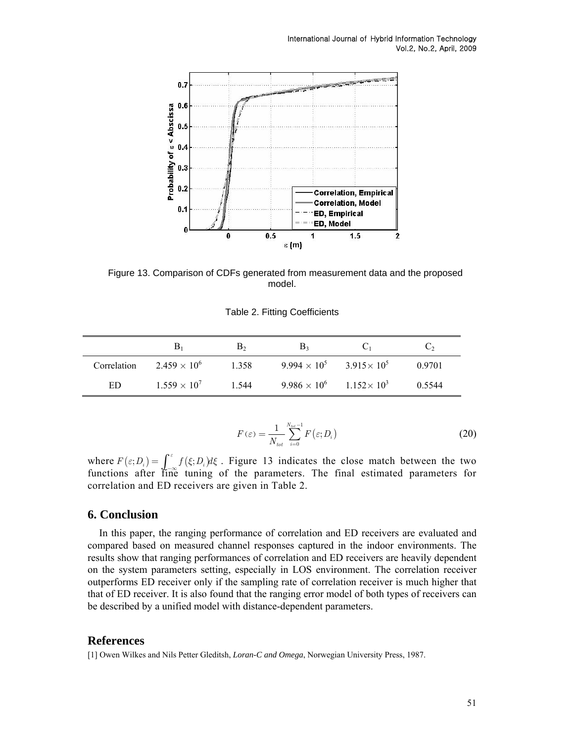

Figure 13. Comparison of CDFs generated from measurement data and the proposed model.

Table 2. Fitting Coefficients

|             | $B_1$                 | B <sub>2</sub> | B <sub>3</sub>                          |        |
|-------------|-----------------------|----------------|-----------------------------------------|--------|
| Correlation | $2.459 \times 10^{6}$ | 1.358          | $9.994 \times 10^5$ $3.915 \times 10^5$ | 0.9701 |
| ED.         | $1.559 \times 10^{7}$ | 1.544          | $9.986 \times 10^6$ $1.152 \times 10^3$ | 0.5544 |

$$
F(\varepsilon) = \frac{1}{N_{tot}} \sum_{i=0}^{N_{tot}-1} F(\varepsilon; D_i)
$$
\n(20)

where  $F(\varepsilon; D_i) = \int_{-\infty}^{\varepsilon} f(\xi; D_i) d\xi$ . Figure 13 indicates the close match between the two functions after fine tuning of the parameters. The final estimated parameters for correlation and ED receivers are given in Table 2.

#### **6. Conclusion**

In this paper, the ranging performance of correlation and ED receivers are evaluated and compared based on measured channel responses captured in the indoor environments. The results show that ranging performances of correlation and ED receivers are heavily dependent on the system parameters setting, especially in LOS environment. The correlation receiver outperforms ED receiver only if the sampling rate of correlation receiver is much higher that that of ED receiver. It is also found that the ranging error model of both types of receivers can be described by a unified model with distance-dependent parameters.

#### **References**

[1] Owen Wilkes and Nils Petter Gleditsh, *Loran-C and Omega*, Norwegian University Press, 1987.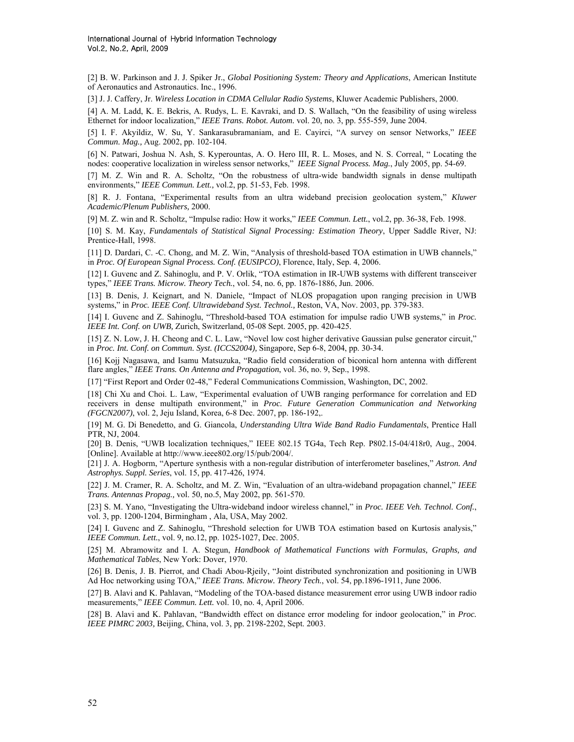[2] B. W. Parkinson and J. J. Spiker Jr., *Global Positioning System: Theory and Applications*, American Institute of Aeronautics and Astronautics. Inc., 1996.

[3] J. J. Caffery, Jr. *Wireless Location in CDMA Cellular Radio Systems*, Kluwer Academic Publishers, 2000.

[4] A. M. Ladd, K. E. Bekris, A. Rudys, L. E. Kavraki, and D. S. Wallach, "On the feasibility of using wireless Ethernet for indoor localization," *IEEE Trans. Robot. Autom.* vol. 20, no. 3, pp. 555-559, June 2004.

[5] I. F. Akyildiz, W. Su, Y. Sankarasubramaniam, and E. Cayirci, "A survey on sensor Networks," *IEEE Commun. Mag.,* Aug. 2002, pp. 102-104.

[6] N. Patwari, Joshua N. Ash, S. Kyperountas, A. O. Hero III, R. L. Moses, and N. S. Correal, " Locating the nodes: cooperative localization in wireless sensor networks," *IEEE Signal Process. Mag.*, July 2005, pp. 54-69.

[7] M. Z. Win and R. A. Scholtz, "On the robustness of ultra-wide bandwidth signals in dense multipath environments," *IEEE Commun. Lett.,* vol.2, pp. 51-53, Feb. 1998.

[8] R. J. Fontana, "Experimental results from an ultra wideband precision geolocation system," *Kluwer Academic/Plenum Publishers,* 2000.

[9] M. Z. win and R. Scholtz, "Impulse radio: How it works," *IEEE Commun. Lett.*, vol.2, pp. 36-38, Feb. 1998.

[10] S. M. Kay, *Fundamentals of Statistical Signal Processing: Estimation Theory*, Upper Saddle River, NJ: Prentice-Hall, 1998.

[11] D. Dardari, C. -C. Chong, and M. Z. Win, "Analysis of threshold-based TOA estimation in UWB channels," in *Proc. Of European Signal Process. Conf. (EUSIPCO)*, Florence, Italy, Sep. 4, 2006.

[12] I. Guvenc and Z. Sahinoglu, and P. V. Orlik, "TOA estimation in IR-UWB systems with different transceiver types," *IEEE Trans. Microw. Theory Tech.*, vol. 54, no. 6, pp. 1876-1886, Jun. 2006.

[13] B. Denis, J. Keignart, and N. Daniele, "Impact of NLOS propagation upon ranging precision in UWB systems," in *Proc. IEEE Conf. Ultrawideband Syst. Technol.,* Reston, VA, Nov. 2003, pp. 379-383.

[14] I. Guvenc and Z. Sahinoglu, "Threshold-based TOA estimation for impulse radio UWB systems," in *Proc. IEEE Int. Conf. on UWB,* Zurich, Switzerland, 05-08 Sept. 2005, pp. 420-425.

[15] Z. N. Low, J. H. Cheong and C. L. Law, "Novel low cost higher derivative Gaussian pulse generator circuit," in *Proc. Int. Conf. on Commun. Syst. (ICCS2004),* Singapore, Sep 6-8, 2004, pp. 30-34.

[16] Kojj Nagasawa, and Isamu Matsuzuka, "Radio field consideration of biconical horn antenna with different flare angles," *IEEE Trans. On Antenna and Propagation*, vol. 36, no. 9, Sep., 1998.

[17] "First Report and Order 02-48," Federal Communications Commission, Washington, DC, 2002.

[18] Chi Xu and Choi. L. Law, "Experimental evaluation of UWB ranging performance for correlation and ED receivers in dense multipath environment," in *Proc. Future Generation Communication and Networking (FGCN2007)*, vol. 2, Jeju Island, Korea, 6-8 Dec. 2007, pp. 186-192,.

[19] M. G. Di Benedetto, and G. Giancola, *Understanding Ultra Wide Band Radio Fundamentals*, Prentice Hall PTR, NJ, 2004.

[20] B. Denis, "UWB localization techniques," IEEE 802.15 TG4a, Tech Rep. P802.15-04/418r0, Aug., 2004. [Online]. Available at http://www.ieee802.org/15/pub/2004/.

[21] J. A. Hogborm, "Aperture synthesis with a non-regular distribution of interferometer baselines," *Astron. And Astrophys. Suppl. Series*, vol. 15, pp. 417-426, 1974.

[22] J. M. Cramer, R. A. Scholtz, and M. Z. Win, "Evaluation of an ultra-wideband propagation channel," *IEEE Trans. Antennas Propag.,* vol. 50, no.5, May 2002, pp. 561-570.

[23] S. M. Yano, "Investigating the Ultra-wideband indoor wireless channel," in *Proc. IEEE Veh. Technol. Conf.*, vol. 3, pp. 1200-1204, Birmingham , Ala, USA, May 2002.

[24] I. Guvenc and Z. Sahinoglu, "Threshold selection for UWB TOA estimation based on Kurtosis analysis," *IEEE Commun. Lett.*, vol. 9, no.12, pp. 1025-1027, Dec. 2005.

[25] M. Abramowitz and I. A. Stegun, *Handbook of Mathematical Functions with Formulas, Graphs, and Mathematical Tables*, New York: Dover, 1970.

[26] B. Denis, J. B. Pierrot, and Chadi Abou-Rjeily, "Joint distributed synchronization and positioning in UWB Ad Hoc networking using TOA," *IEEE Trans. Microw. Theory Tech.*, vol. 54, pp.1896-1911, June 2006.

[27] B. Alavi and K. Pahlavan, "Modeling of the TOA-based distance measurement error using UWB indoor radio measurements," *IEEE Commun. Lett.* vol. 10, no. 4, April 2006.

[28] B. Alavi and K. Pahlavan, "Bandwidth effect on distance error modeling for indoor geolocation," in *Proc. IEEE PIMRC 2003,* Beijing, China, vol. 3, pp. 2198-2202, Sept. 2003.